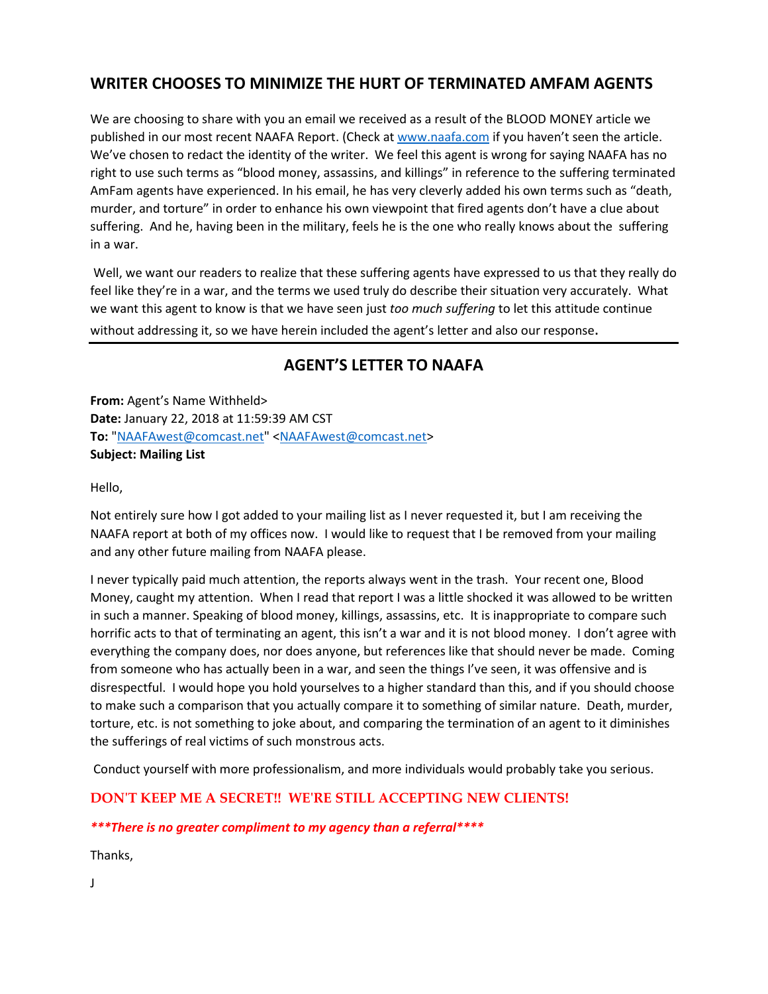## **WRITER CHOOSES TO MINIMIZE THE HURT OF TERMINATED AMFAM AGENTS**

We are choosing to share with you an email we received as a result of the BLOOD MONEY article we published in our most recent NAAFA Report. (Check at [www.naafa.com](http://www.naafa.com/) if you haven't seen the article. We've chosen to redact the identity of the writer. We feel this agent is wrong for saying NAAFA has no right to use such terms as "blood money, assassins, and killings" in reference to the suffering terminated AmFam agents have experienced. In his email, he has very cleverly added his own terms such as "death, murder, and torture" in order to enhance his own viewpoint that fired agents don't have a clue about suffering. And he, having been in the military, feels he is the one who really knows about the suffering in a war.

Well, we want our readers to realize that these suffering agents have expressed to us that they really do feel like they're in a war, and the terms we used truly do describe their situation very accurately. What we want this agent to know is that we have seen just *too much suffering* to let this attitude continue without addressing it, so we have herein included the agent's letter and also our response.

## **AGENT'S LETTER TO NAAFA**

**From:** Agent's Name Withheld> **Date:** January 22, 2018 at 11:59:39 AM CST **To:** ["NAAFAwest@comcast.net"](mailto:NAAFAwest@comcast.net) [<NAAFAwest@comcast.net>](mailto:NAAFAwest@comcast.net) **Subject: Mailing List**

Hello,

Not entirely sure how I got added to your mailing list as I never requested it, but I am receiving the NAAFA report at both of my offices now. I would like to request that I be removed from your mailing and any other future mailing from NAAFA please.

I never typically paid much attention, the reports always went in the trash. Your recent one, Blood Money, caught my attention. When I read that report I was a little shocked it was allowed to be written in such a manner. Speaking of blood money, killings, assassins, etc. It is inappropriate to compare such horrific acts to that of terminating an agent, this isn't a war and it is not blood money. I don't agree with everything the company does, nor does anyone, but references like that should never be made. Coming from someone who has actually been in a war, and seen the things I've seen, it was offensive and is disrespectful. I would hope you hold yourselves to a higher standard than this, and if you should choose to make such a comparison that you actually compare it to something of similar nature. Death, murder, torture, etc. is not something to joke about, and comparing the termination of an agent to it diminishes the sufferings of real victims of such monstrous acts.

Conduct yourself with more professionalism, and more individuals would probably take you serious.

**DON'T KEEP ME A SECRET!! WE'RE STILL ACCEPTING NEW CLIENTS!**

#### *\*\*\*There is no greater compliment to my agency than a referral\*\*\*\**

Thanks,

J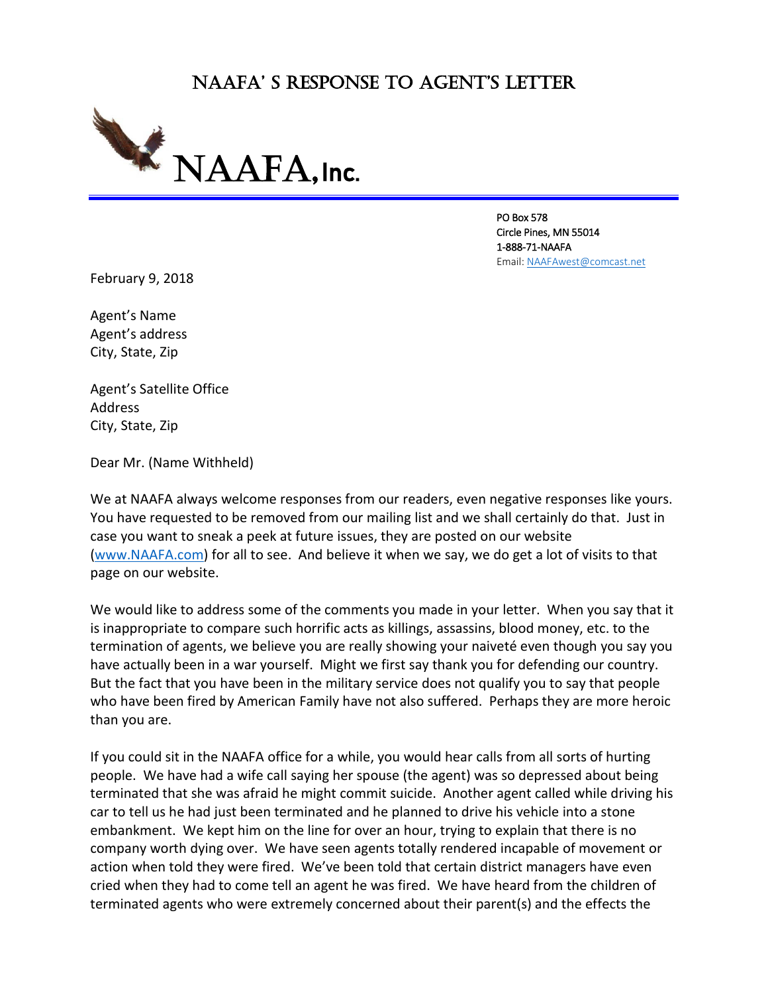# NAAFA' S RESPONSE TO AGENT'S LETTER



PO Box 578 Circle Pines, MN 55014 1-888-71-NAAFA Email[: NAAFAwest@comcast.net](mailto:NAAFAwest@comcast.net)

February 9, 2018

Agent's Name Agent's address City, State, Zip

Agent's Satellite Office Address City, State, Zip

Dear Mr. (Name Withheld)

We at NAAFA always welcome responses from our readers, even negative responses like yours. You have requested to be removed from our mailing list and we shall certainly do that. Just in case you want to sneak a peek at future issues, they are posted on our website [\(www.NAAFA.com\)](http://www.naafa.com/) for all to see. And believe it when we say, we do get a lot of visits to that page on our website.

We would like to address some of the comments you made in your letter. When you say that it is inappropriate to compare such horrific acts as killings, assassins, blood money, etc. to the termination of agents, we believe you are really showing your naiveté even though you say you have actually been in a war yourself. Might we first say thank you for defending our country. But the fact that you have been in the military service does not qualify you to say that people who have been fired by American Family have not also suffered. Perhaps they are more heroic than you are.

If you could sit in the NAAFA office for a while, you would hear calls from all sorts of hurting people. We have had a wife call saying her spouse (the agent) was so depressed about being terminated that she was afraid he might commit suicide. Another agent called while driving his car to tell us he had just been terminated and he planned to drive his vehicle into a stone embankment. We kept him on the line for over an hour, trying to explain that there is no company worth dying over. We have seen agents totally rendered incapable of movement or action when told they were fired. We've been told that certain district managers have even cried when they had to come tell an agent he was fired. We have heard from the children of terminated agents who were extremely concerned about their parent(s) and the effects the